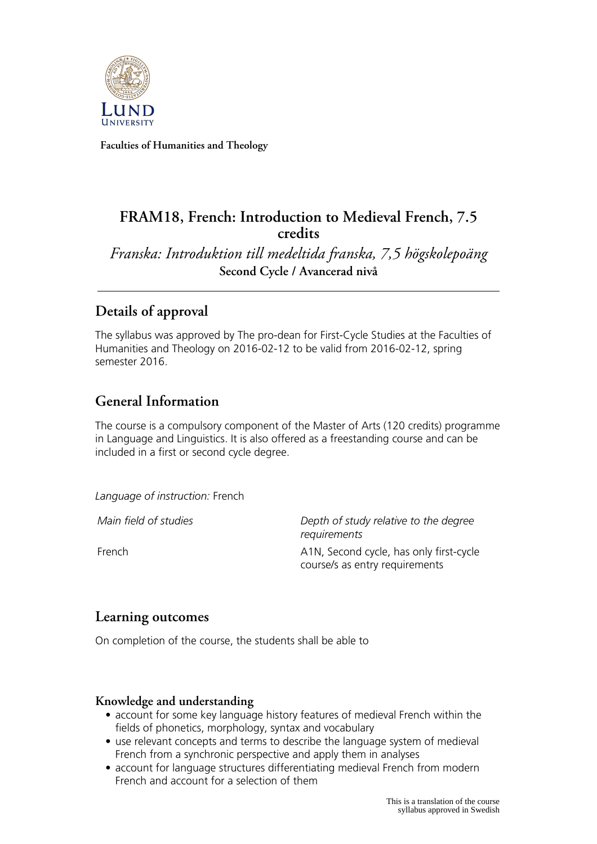

**Faculties of Humanities and Theology**

# **FRAM18, French: Introduction to Medieval French, 7.5 credits**

*Franska: Introduktion till medeltida franska, 7,5 högskolepoäng* **Second Cycle / Avancerad nivå**

# **Details of approval**

The syllabus was approved by The pro-dean for First-Cycle Studies at the Faculties of Humanities and Theology on 2016-02-12 to be valid from 2016-02-12, spring semester 2016.

# **General Information**

The course is a compulsory component of the Master of Arts (120 credits) programme in Language and Linguistics. It is also offered as a freestanding course and can be included in a first or second cycle degree.

*Language of instruction:* French

*Main field of studies Depth of study relative to the degree requirements* French **A1N**, Second cycle, has only first-cycle course/s as entry requirements

## **Learning outcomes**

On completion of the course, the students shall be able to

#### **Knowledge and understanding**

- account for some key language history features of medieval French within the fields of phonetics, morphology, syntax and vocabulary
- use relevant concepts and terms to describe the language system of medieval French from a synchronic perspective and apply them in analyses
- account for language structures differentiating medieval French from modern French and account for a selection of them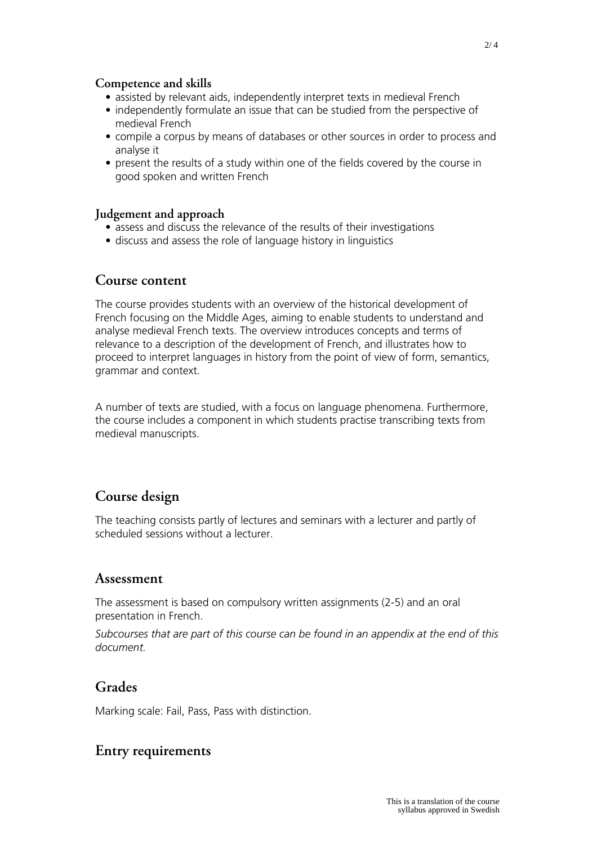#### **Competence and skills**

- assisted by relevant aids, independently interpret texts in medieval French
- independently formulate an issue that can be studied from the perspective of medieval French
- compile a corpus by means of databases or other sources in order to process and analyse it
- present the results of a study within one of the fields covered by the course in good spoken and written French

#### **Judgement and approach**

- assess and discuss the relevance of the results of their investigations
- discuss and assess the role of language history in linguistics

### **Course content**

The course provides students with an overview of the historical development of French focusing on the Middle Ages, aiming to enable students to understand and analyse medieval French texts. The overview introduces concepts and terms of relevance to a description of the development of French, and illustrates how to proceed to interpret languages in history from the point of view of form, semantics, grammar and context.

A number of texts are studied, with a focus on language phenomena. Furthermore, the course includes a component in which students practise transcribing texts from medieval manuscripts.

## **Course design**

The teaching consists partly of lectures and seminars with a lecturer and partly of scheduled sessions without a lecturer.

### **Assessment**

The assessment is based on compulsory written assignments (2-5) and an oral presentation in French.

*Subcourses that are part of this course can be found in an appendix at the end of this document.*

### **Grades**

Marking scale: Fail, Pass, Pass with distinction.

## **Entry requirements**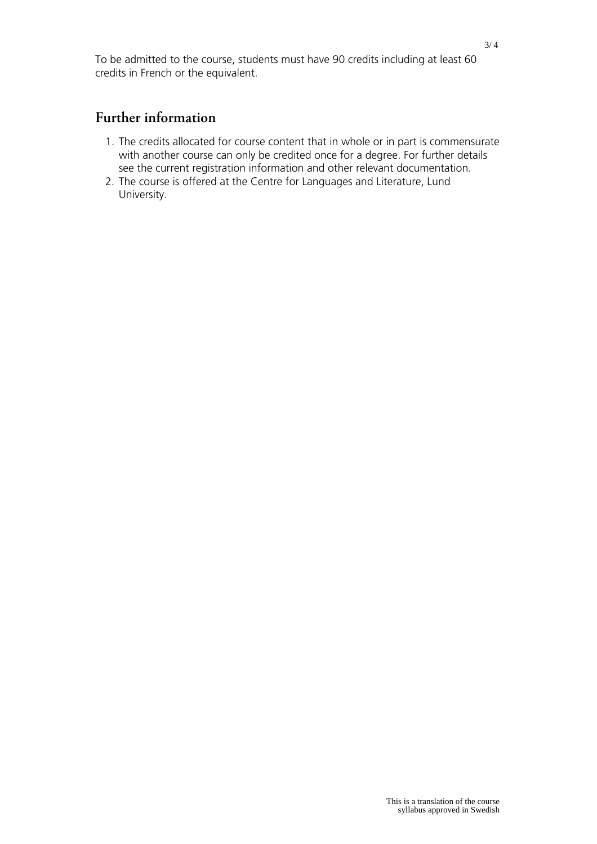To be admitted to the course, students must have 90 credits including at least 60 credits in French or the equivalent.

## **Further information**

- 1. The credits allocated for course content that in whole or in part is commensurate with another course can only be credited once for a degree. For further details see the current registration information and other relevant documentation.
- 2. The course is offered at the Centre for Languages and Literature, Lund University.